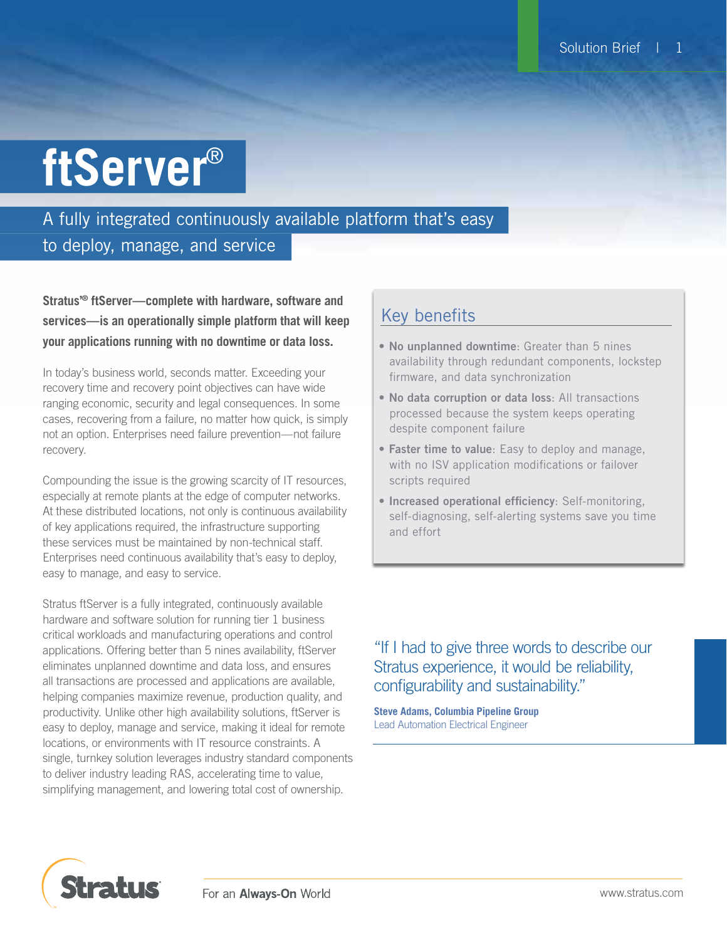# **ftServer**®

## A fully integrated continuously available platform that's easy to deploy, manage, and service

**Stratus'® ftServer—complete with hardware, software and services—is an operationally simple platform that will keep your applications running with no downtime or data loss.**

In today's business world, seconds matter. Exceeding your recovery time and recovery point objectives can have wide ranging economic, security and legal consequences. In some cases, recovering from a failure, no matter how quick, is simply not an option. Enterprises need failure prevention—not failure recovery.

Compounding the issue is the growing scarcity of IT resources, especially at remote plants at the edge of computer networks. At these distributed locations, not only is continuous availability of key applications required, the infrastructure supporting these services must be maintained by non-technical staff. Enterprises need continuous availability that's easy to deploy, easy to manage, and easy to service.

Stratus ftServer is a fully integrated, continuously available hardware and software solution for running tier 1 business critical workloads and manufacturing operations and control applications. Offering better than 5 nines availability, ftServer eliminates unplanned downtime and data loss, and ensures all transactions are processed and applications are available, helping companies maximize revenue, production quality, and productivity. Unlike other high availability solutions, ftServer is easy to deploy, manage and service, making it ideal for remote locations, or environments with IT resource constraints. A single, turnkey solution leverages industry standard components to deliver industry leading RAS, accelerating time to value, simplifying management, and lowering total cost of ownership.

## Key benefits

- No unplanned downtime: Greater than 5 nines availability through redundant components, lockstep firmware, and data synchronization
- No data corruption or data loss: All transactions processed because the system keeps operating despite component failure
- Faster time to value: Easy to deploy and manage, with no ISV application modifications or failover scripts required
- Increased operational efficiency: Self-monitoring, self-diagnosing, self-alerting systems save you time and effort

"If I had to give three words to describe our Stratus experience, it would be reliability, configurability and sustainability."

**Steve Adams, Columbia Pipeline Group** Lead Automation Electrical Engineer

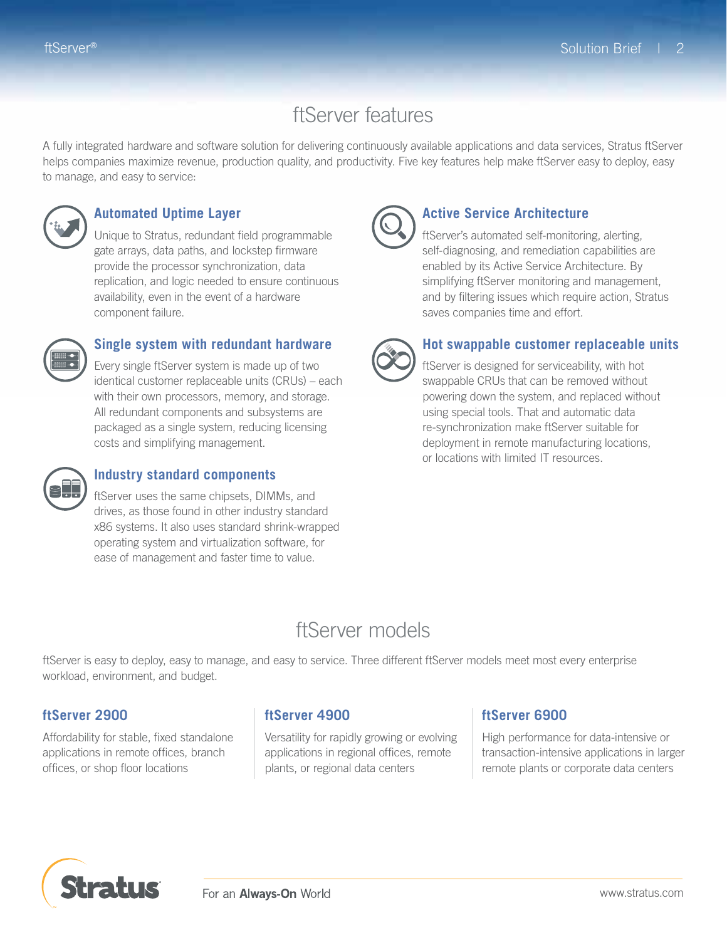## ftServer features

A fully integrated hardware and software solution for delivering continuously available applications and data services, Stratus ftServer helps companies maximize revenue, production quality, and productivity. Five key features help make ftServer easy to deploy, easy to manage, and easy to service:



### **Automated Uptime Layer**

 Unique to Stratus, redundant field programmable gate arrays, data paths, and lockstep firmware provide the processor synchronization, data replication, and logic needed to ensure continuous availability, even in the event of a hardware component failure.



## **Single system with redundant hardware**

Every single ftServer system is made up of two identical customer replaceable units (CRUs) – each with their own processors, memory, and storage. All redundant components and subsystems are packaged as a single system, reducing licensing costs and simplifying management.



#### **Industry standard components**

 ftServer uses the same chipsets, DIMMs, and drives, as those found in other industry standard x86 systems. It also uses standard shrink-wrapped operating system and virtualization software, for ease of management and faster time to value.



#### **Active Service Architecture**

 ftServer's automated self-monitoring, alerting, self-diagnosing, and remediation capabilities are enabled by its Active Service Architecture. By simplifying ftServer monitoring and management, and by filtering issues which require action, Stratus saves companies time and effort.



## **Hot swappable customer replaceable units**

 ftServer is designed for serviceability, with hot swappable CRUs that can be removed without powering down the system, and replaced without using special tools. That and automatic data re-synchronization make ftServer suitable for deployment in remote manufacturing locations, or locations with limited IT resources.

## ftServer models

ftServer is easy to deploy, easy to manage, and easy to service. Three different ftServer models meet most every enterprise workload, environment, and budget.

#### **ftServer 2900**

Affordability for stable, fixed standalone applications in remote offices, branch offices, or shop floor locations

## **ftServer 4900**

Versatility for rapidly growing or evolving applications in regional offices, remote plants, or regional data centers

## **ftServer 6900**

High performance for data-intensive or transaction-intensive applications in larger remote plants or corporate data centers

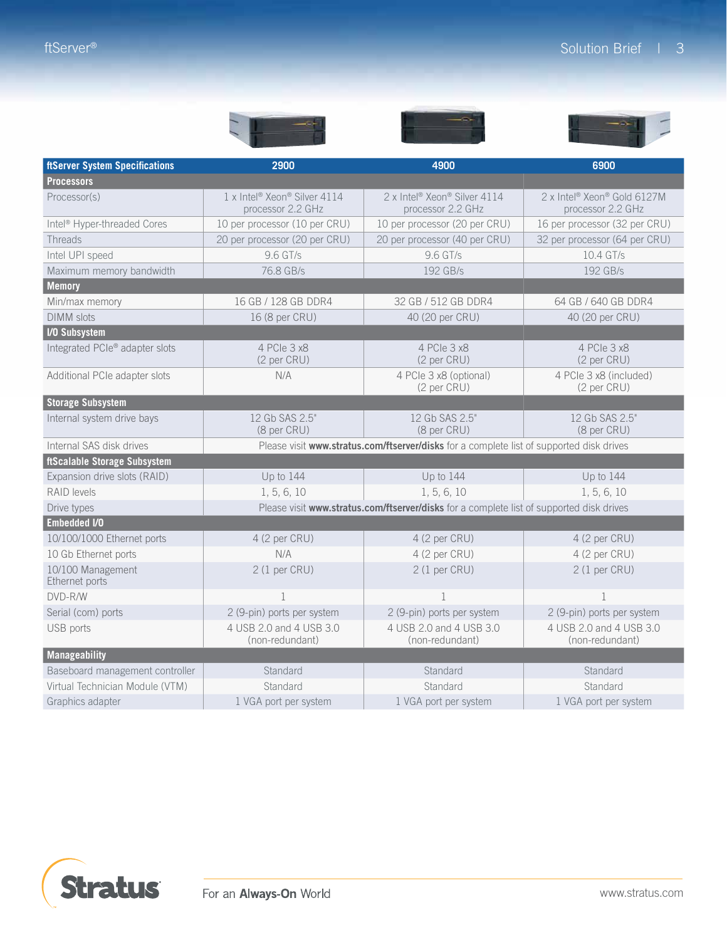| <b>ftServer System Specifications</b>   | 2900                                                                      | 4900                                                                                     | 6900                                             |
|-----------------------------------------|---------------------------------------------------------------------------|------------------------------------------------------------------------------------------|--------------------------------------------------|
| <b>Processors</b>                       |                                                                           |                                                                                          |                                                  |
| Processor(s)                            | 1 x Intel <sup>®</sup> Xeon <sup>®</sup> Silver 4114<br>processor 2.2 GHz | 2 x Intel <sup>®</sup> Xeon® Silver 4114<br>processor 2.2 GHz                            | 2 x Intel® Xeon® Gold 6127M<br>processor 2.2 GHz |
| Intel <sup>®</sup> Hyper-threaded Cores | 10 per processor (10 per CRU)                                             | 10 per processor (20 per CRU)                                                            | 16 per processor (32 per CRU)                    |
| Threads                                 | 20 per processor (20 per CRU)                                             | 20 per processor (40 per CRU)                                                            | 32 per processor (64 per CRU)                    |
| Intel UPI speed                         | 9.6 GT/s                                                                  | 9.6 GT/s                                                                                 | 10.4 GT/s                                        |
| Maximum memory bandwidth                | 76.8 GB/s                                                                 | 192 GB/s                                                                                 | 192 GB/s                                         |
| <b>Memory</b>                           |                                                                           |                                                                                          |                                                  |
| Min/max memory                          | 16 GB / 128 GB DDR4                                                       | 32 GB / 512 GB DDR4                                                                      | 64 GB / 640 GB DDR4                              |
| <b>DIMM</b> slots                       | 16 (8 per CRU)                                                            | 40 (20 per CRU)                                                                          | 40 (20 per CRU)                                  |
| <b>I/O Subsystem</b>                    |                                                                           |                                                                                          |                                                  |
| Integrated PCIe® adapter slots          | 4 PCIe 3 x8<br>$(2 \text{ per CRU})$                                      | 4 PCIe 3 x8<br>(2 per CRU)                                                               | 4 PCIe 3 x8<br>(2 per CRU)                       |
| Additional PCIe adapter slots           | N/A                                                                       | 4 PCIe 3 x8 (optional)<br>(2 per CRU)                                                    | 4 PCle 3 x8 (included)<br>(2 per CRU)            |
| <b>Storage Subsystem</b>                |                                                                           |                                                                                          |                                                  |
| Internal system drive bays              | 12 Gb SAS 2.5"<br>(8 per CRU)                                             | 12 Gb SAS 2.5"<br>(8 per CRU)                                                            | 12 Gb SAS 2.5"<br>(8 per CRU)                    |
| Internal SAS disk drives                |                                                                           | Please visit www.stratus.com/ftserver/disks for a complete list of supported disk drives |                                                  |
| ftScalable Storage Subsystem            |                                                                           |                                                                                          |                                                  |
| Expansion drive slots (RAID)            | Up to 144                                                                 | Up to 144                                                                                | Up to 144                                        |
| RAID levels                             | 1, 5, 6, 10                                                               | 1, 5, 6, 10                                                                              | 1, 5, 6, 10                                      |
| Drive types                             |                                                                           | Please visit www.stratus.com/ftserver/disks for a complete list of supported disk drives |                                                  |
| <b>Embedded I/O</b>                     |                                                                           |                                                                                          |                                                  |
| 10/100/1000 Ethernet ports              | 4 (2 per CRU)                                                             | 4 (2 per CRU)                                                                            | 4 (2 per CRU)                                    |
| 10 Gb Ethernet ports                    | N/A                                                                       | 4 (2 per CRU)                                                                            | 4 (2 per CRU)                                    |
| 10/100 Management<br>Ethernet ports     | 2(1 <sub>per</sub> CRU)                                                   | 2(1 <sub>per</sub> CRU)                                                                  | 2(1 <sub>per</sub> CRU)                          |
| DVD-R/W                                 | $\mathbf{1}$                                                              | $\mathbf{1}$                                                                             | $\mathbf{1}$                                     |
| Serial (com) ports                      | 2 (9-pin) ports per system                                                | 2 (9-pin) ports per system                                                               | 2 (9-pin) ports per system                       |
| USB ports                               | 4 USB 2.0 and 4 USB 3.0<br>(non-redundant)                                | 4 USB 2.0 and 4 USB 3.0<br>(non-redundant)                                               | 4 USB 2.0 and 4 USB 3.0<br>(non-redundant)       |
| <b>Manageability</b>                    |                                                                           |                                                                                          |                                                  |
| Baseboard management controller         | Standard                                                                  | Standard                                                                                 | Standard                                         |
| Virtual Technician Module (VTM)         | Standard                                                                  | Standard                                                                                 | Standard                                         |
| Graphics adapter                        | 1 VGA port per system                                                     | 1 VGA port per system                                                                    | 1 VGA port per system                            |